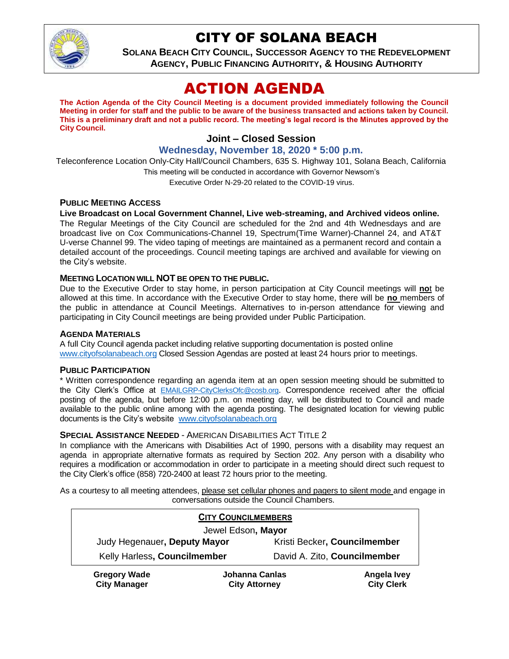

## CITY OF SOLANA BEACH

**SOLANA BEACH CITY COUNCIL, SUCCESSOR AGENCY TO THE REDEVELOPMENT AGENCY, PUBLIC FINANCING AUTHORITY, & HOUSING AUTHORITY**

# ACTION AGENDA

**The Action Agenda of the City Council Meeting is a document provided immediately following the Council Meeting in order for staff and the public to be aware of the business transacted and actions taken by Council. This is a preliminary draft and not a public record. The meeting's legal record is the Minutes approved by the City Council.**

## **Joint – Closed Session**

**Wednesday, November 18, 2020 \* 5:00 p.m.**

Teleconference Location Only-City Hall/Council Chambers, 635 S. Highway 101, Solana Beach, California This meeting will be conducted in accordance with Governor Newsom's Executive Order N-29-20 related to the COVID-19 virus.

#### **PUBLIC MEETING ACCESS**

#### **Live Broadcast on Local Government Channel, Live web-streaming, and Archived videos online.**

The Regular Meetings of the City Council are scheduled for the 2nd and 4th Wednesdays and are broadcast live on Cox Communications-Channel 19, Spectrum(Time Warner)-Channel 24, and AT&T U-verse Channel 99. The video taping of meetings are maintained as a permanent record and contain a detailed account of the proceedings. Council meeting tapings are archived and available for viewing on the City's website.

#### **MEETING LOCATION WILL NOT BE OPEN TO THE PUBLIC.**

Due to the Executive Order to stay home, in person participation at City Council meetings will **no**t be allowed at this time. In accordance with the Executive Order to stay home, there will be **no** members of the public in attendance at Council Meetings. Alternatives to in-person attendance for viewing and participating in City Council meetings are being provided under Public Participation.

#### **AGENDA MATERIALS**

A full City Council agenda packet including relative supporting documentation is posted online [www.cityofsolanabeach.org](https://urldefense.proofpoint.com/v2/url?u=http-3A__www.cityofsolanabeach.org&d=DwQFAg&c=euGZstcaTDllvimEN8b7jXrwqOf-v5A_CdpgnVfiiMM&r=1XAsCUuqwK_tji2t0s1uIQ&m=wny2RVfZJ2tN24LkqZmkUWNpwL_peNtTZUBlTBZiMM4&s=6ATguqxJUOD7VVtloplAbyuyNaVcEh6Fl4q1iw55lCY&e=) Closed Session Agendas are posted at least 24 hours prior to meetings.

#### **PUBLIC PARTICIPATION**

\* Written correspondence regarding an agenda item at an open session meeting should be submitted to the City Clerk's Office at [EMAILGRP-CityClerksOfc@cosb.org](mailto:EMAILGRP-CityClerksOfc@cosb.org). Correspondence received after the official posting of the agenda, but before 12:00 p.m. on meeting day, will be distributed to Council and made available to the public online among with the agenda posting. The designated location for viewing public documents is the City's website [www.cityofsolanabeach.org](http://www.cityofsolanabeach.org/)

#### **SPECIAL ASSISTANCE NEEDED** - AMERICAN DISABILITIES ACT TITLE 2

In compliance with the Americans with Disabilities Act of 1990, persons with a disability may request an agenda in appropriate alternative formats as required by Section 202. Any person with a disability who requires a modification or accommodation in order to participate in a meeting should direct such request to the City Clerk's office (858) 720-2400 at least 72 hours prior to the meeting.

As a courtesy to all meeting attendees, please set cellular phones and pagers to silent mode and engage in conversations outside the Council Chambers.

| <b>CITY COUNCILMEMBERS</b>                 |                                        |                              |                                  |
|--------------------------------------------|----------------------------------------|------------------------------|----------------------------------|
| Jewel Edson, Mayor                         |                                        |                              |                                  |
| Judy Hegenauer, Deputy Mayor               |                                        | Kristi Becker, Councilmember |                                  |
| Kelly Harless, Councilmember               |                                        | David A. Zito, Councilmember |                                  |
| <b>Gregory Wade</b><br><b>City Manager</b> | Johanna Canlas<br><b>City Attorney</b> |                              | Angela Ivey<br><b>City Clerk</b> |